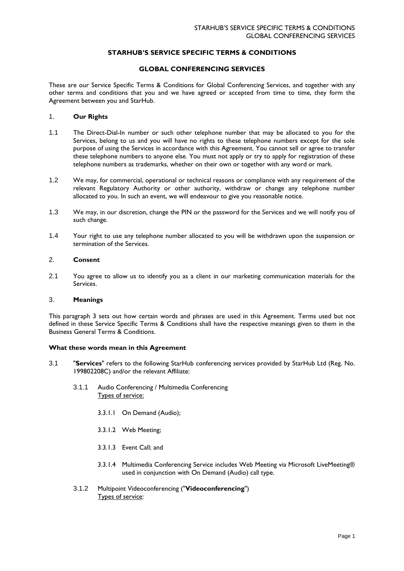# **STARHUB'S SERVICE SPECIFIC TERMS & CONDITIONS**

## **GLOBAL CONFERENCING SERVICES**

These are our Service Specific Terms & Conditions for Global Conferencing Services, and together with any other terms and conditions that you and we have agreed or accepted from time to time, they form the Agreement between you and StarHub.

#### 1. **Our Rights**

- 1.1 The Direct-Dial-In number or such other telephone number that may be allocated to you for the Services, belong to us and you will have no rights to these telephone numbers except for the sole purpose of using the Services in accordance with this Agreement. You cannot sell or agree to transfer these telephone numbers to anyone else. You must not apply or try to apply for registration of these telephone numbers as trademarks, whether on their own or together with any word or mark.
- 1.2 We may, for commercial, operational or technical reasons or compliance with any requirement of the relevant Regulatory Authority or other authority, withdraw or change any telephone number allocated to you. In such an event, we will endeavour to give you reasonable notice.
- 1.3 We may, in our discretion, change the PIN or the password for the Services and we will notify you of such change.
- 1.4 Your right to use any telephone number allocated to you will be withdrawn upon the suspension or termination of the Services.

#### 2. **Consent**

2.1 You agree to allow us to identify you as a client in our marketing communication materials for the Services.

### 3. **Meanings**

This paragraph 3 sets out how certain words and phrases are used in this Agreement. Terms used but not defined in these Service Specific Terms & Conditions shall have the respective meanings given to them in the Business General Terms & Conditions.

## **What these words mean in this Agreement**

- 3.1 "**Services**" refers to the following StarHub conferencing services provided by StarHub Ltd (Reg. No. 199802208C) and/or the relevant Affiliate:
	- 3.1.1 Audio Conferencing / Multimedia Conferencing Types of service:
		- 3.3.1.1 On Demand (Audio);
		- 3.3.1.2 Web Meeting;
		- 3.3.1.3 Event Call; and
		- 3.3.1.4 Multimedia Conferencing Service includes Web Meeting via Microsoft LiveMeeting® used in conjunction with On Demand (Audio) call type.
	- 3.1.2 Multipoint Videoconferencing ("**Videoconferencing**") Types of service: